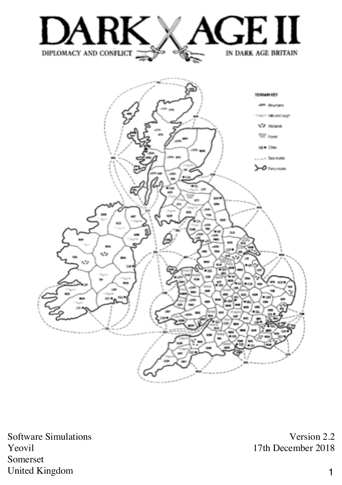



Software Simulations Yeovil Somerset United Kingdom

Version 2.2 17th December 2018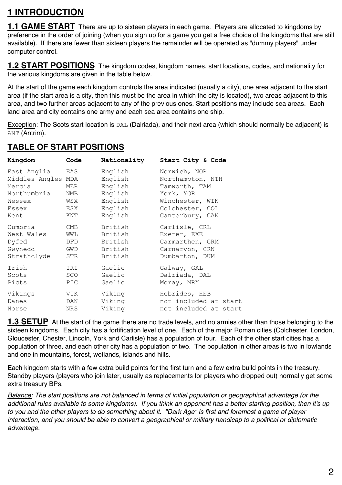# **1 INTRODUCTION**

**1.1 GAME START** There are up to sixteen players in each game. Players are allocated to kingdoms by preference in the order of joining (when you sign up for a game you get a free choice of the kingdoms that are still available). If there are fewer than sixteen players the remainder will be operated as "dummy players" under computer control.

**1.2 START POSITIONS** The kingdom codes, kingdom names, start locations, codes, and nationality for the various kingdoms are given in the table below.

At the start of the game each kingdom controls the area indicated (usually a city), one area adjacent to the start area (if the start area is a city, then this must be the area in which the city is located), two areas adjacent to this area, and two further areas adjacent to any of the previous ones. Start positions may include sea areas. Each land area and city contains one army and each sea area contains one ship.

Exception: The Scots start location is DAL (Dalriada), and their next area (which should normally be adjacent) is ANT (Antrim).

#### **TABLE OF START POSITIONS**

| Kingdom            | Code | Nationality | Start City & Code     |
|--------------------|------|-------------|-----------------------|
| East Anglia        | EAS  | English     | Norwich, NOR          |
| Middles Angles MDA |      | English     | Northampton, NTH      |
| Mercia             | MER  | English     | Tamworth, TAM         |
| Northumbria        | NMB  | English     | York, YOR             |
| Wessex             | WSX  | English     | Winchester, WIN       |
| Essex              | ESX  | English     | Colchester, COL       |
| Kent               | KNT  | English     | Canterbury, CAN       |
| Cumbria            | CMB  | British     | Carlisle, CRL         |
| West Wales         | WWL  | British     | Exeter, EXE           |
| Dyfed              | DFD  | British     | Carmarthen, CRM       |
| Gwynedd            | GWD  | British     | Carnarvon, CRN        |
| Strathclyde        | STR  | British     | Dumbarton, DUM        |
| Irish              | IRI  | Gaelic      | Galway, GAL           |
| Scots              | SCO  | Gaelic      | Dalriada, DAL         |
| Picts              | PIC  | Gaelic      | Moray, MRY            |
| Vikings            | VIK  | Viking      | Hebrides, HEB         |
| Danes              | DAN  | Viking      | not included at start |
| Norse              | NRS  | Viking      | not included at start |
|                    |      |             |                       |

**1.3 SETUP** At the start of the game there are no trade levels, and no armies other than those belonging to the sixteen kingdoms. Each city has a fortification level of one. Each of the major Roman cities (Colchester, London, Gloucester, Chester, Lincoln, York and Carlisle) has a population of four. Each of the other start cities has a population of three, and each other city has a population of two. The population in other areas is two in lowlands and one in mountains, forest, wetlands, islands and hills.

Each kingdom starts with a few extra build points for the first turn and a few extra build points in the treasury. Standby players (players who join later, usually as replacements for players who dropped out) normally get some extra treasury BPs.

*Balance: The start positions are not balanced in terms of initial population or geographical advantage (or the additional rules available to some kingdoms). If you think an opponent has a better starting position, then it's up to you and the other players to do something about it. "Dark Age" is first and foremost a game of player interaction, and you should be able to convert a geographical or military handicap to a political or diplomatic advantage.*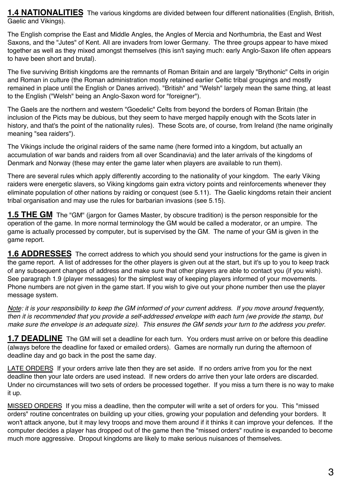**1.4 NATIONALITIES** The various kingdoms are divided between four different nationalities (English, British, Gaelic and Vikings).

The English comprise the East and Middle Angles, the Angles of Mercia and Northumbria, the East and West Saxons, and the "Jutes" of Kent. All are invaders from lower Germany. The three groups appear to have mixed together as well as they mixed amongst themselves (this isn't saying much: early Anglo-Saxon life often appears to have been short and brutal).

The five surviving British kingdoms are the remnants of Roman Britain and are largely "Brythonic" Celts in origin and Roman in culture (the Roman administration mostly retained earlier Celtic tribal groupings and mostly remained in place until the English or Danes arrived). "British" and "Welsh" largely mean the same thing, at least to the English ("Welsh" being an Anglo-Saxon word for "foreigner").

The Gaels are the northern and western "Goedelic" Celts from beyond the borders of Roman Britain (the inclusion of the Picts may be dubious, but they seem to have merged happily enough with the Scots later in history, and that's the point of the nationality rules). These Scots are, of course, from Ireland (the name originally meaning "sea raiders").

The Vikings include the original raiders of the same name (here formed into a kingdom, but actually an accumulation of war bands and raiders from all over Scandinavia) and the later arrivals of the kingdoms of Denmark and Norway (these may enter the game later when players are available to run them).

There are several rules which apply differently according to the nationality of your kingdom. The early Viking raiders were energetic slavers, so Viking kingdoms gain extra victory points and reinforcements whenever they eliminate population of other nations by raiding or conquest (see 5.11). The Gaelic kingdoms retain their ancient tribal organisation and may use the rules for barbarian invasions (see 5.15).

**1.5 THE GM** The "GM" (jargon for Games Master, by obscure tradition) is the person responsible for the operation of the game. In more normal terminology the GM would be called a moderator, or an umpire. The game is actually processed by computer, but is supervised by the GM. The name of your GM is given in the game report.

**1.6 ADDRESSES** The correct address to which you should send your instructions for the game is given in the game report. A list of addresses for the other players is given out at the start, but it's up to you to keep track of any subsequent changes of address and make sure that other players are able to contact you (if you wish). See paragraph 1.9 (player messages) for the simplest way of keeping players informed of your movements. Phone numbers are not given in the game start. If you wish to give out your phone number then use the player message system.

*Note: it is your responsibility to keep the GM informed of your current address. If you move around frequently, then it is recommended that you provide a self-addressed envelope with each turn (we provide the stamp, but make sure the envelope is an adequate size). This ensures the GM sends your turn to the address you prefer.*

**1.7 DEADLINE** The GM will set a deadline for each turn. You orders must arrive on or before this deadline (always before the deadline for faxed or emailed orders). Games are normally run during the afternoon of deadline day and go back in the post the same day.

LATE ORDERS If your orders arrive late then they are set aside. If no orders arrive from you for the next deadline then your late orders are used instead. If new orders do arrive then your late orders are discarded. Under no circumstances will two sets of orders be processed together. If you miss a turn there is no way to make it up.

MISSED ORDERS If you miss a deadline, then the computer will write a set of orders for you. This "missed orders" routine concentrates on building up your cities, growing your population and defending your borders. It won't attack anyone, but it may levy troops and move them around if it thinks it can improve your defences. If the computer decides a player has dropped out of the game then the "missed orders" routine is expanded to become much more aggressive. Dropout kingdoms are likely to make serious nuisances of themselves.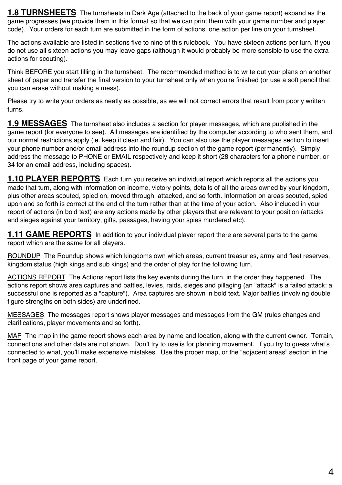**1.8 TURNSHEETS** The turnsheets in Dark Age (attached to the back of your game report) expand as the game progresses (we provide them in this format so that we can print them with your game number and player code). Your orders for each turn are submitted in the form of actions, one action per line on your turnsheet.

The actions available are listed in sections five to nine of this rulebook. You have sixteen actions per turn. If you do not use all sixteen actions you may leave gaps (although it would probably be more sensible to use the extra actions for scouting).

Think BEFORE you start filling in the turnsheet. The recommended method is to write out your plans on another sheet of paper and transfer the final version to your turnsheet only when you're finished (or use a soft pencil that you can erase without making a mess).

Please try to write your orders as neatly as possible, as we will not correct errors that result from poorly written turns.

**1.9 MESSAGES** The turnsheet also includes a section for player messages, which are published in the game report (for everyone to see). All messages are identified by the computer according to who sent them, and our normal restrictions apply (ie. keep it clean and fair). You can also use the player messages section to insert your phone number and/or email address into the roundup section of the game report (permanently). Simply address the message to PHONE or EMAIL respectively and keep it short (28 characters for a phone number, or 34 for an email address, including spaces).

**1.10 PLAYER REPORTS** Each turn you receive an individual report which reports all the actions you made that turn, along with information on income, victory points, details of all the areas owned by your kingdom, plus other areas scouted, spied on, moved through, attacked, and so forth. Information on areas scouted, spied upon and so forth is correct at the end of the turn rather than at the time of your action. Also included in your report of actions (in bold text) are any actions made by other players that are relevant to your position (attacks and sieges against your territory, gifts, passages, having your spies murdered etc).

**1.11 GAME REPORTS** In addition to your individual player report there are several parts to the game report which are the same for all players.

ROUNDUP The Roundup shows which kingdoms own which areas, current treasuries, army and fleet reserves, kingdom status (high kings and sub kings) and the order of play for the following turn.

ACTIONS REPORT The Actions report lists the key events during the turn, in the order they happened. The actions report shows area captures and battles, levies, raids, sieges and pillaging (an "attack" is a failed attack: a successful one is reported as a "capture"). Area captures are shown in bold text. Major battles (involving double figure strengths on both sides) are underlined.

MESSAGES The messages report shows player messages and messages from the GM (rules changes and clarifications, player movements and so forth).

MAP The map in the game report shows each area by name and location, along with the current owner. Terrain, connections and other data are not shown. Don't try to use is for planning movement. If you try to guess what's connected to what, you'll make expensive mistakes. Use the proper map, or the "adjacent areas" section in the front page of your game report.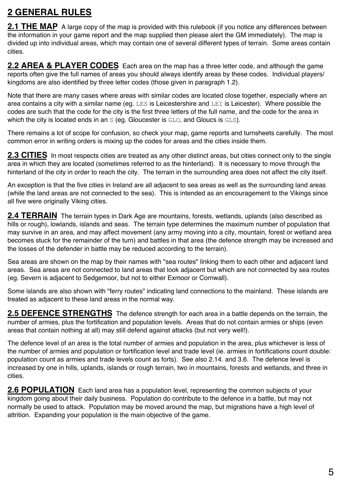# **2 GENERAL RULES**

**2.1 THE MAP** A large copy of the map is provided with this rulebook (if you notice any differences between the information in your game report and the map supplied then please alert the GM immediately). The map is divided up into individual areas, which may contain one of several different types of terrain. Some areas contain cities.

**2.2 AREA & PLAYER CODES** Each area on the map has a three letter code, and although the game reports often give the full names of areas you should always identify areas by these codes. Individual players/ kingdoms are also identified by three letter codes (those given in paragraph 1.2).

Note that there are many cases where areas with similar codes are located close together, especially where an area contains a city with a similar name (eg. LES is Leicestershire and LEI is Leicester). Where possible the codes are such that the code for the city is the first three letters of the full name, and the code for the area in which the city is located ends in an S (eq. Gloucester is GLO, and Gloucs is GLS).

There remains a lot of scope for confusion, so check your map, game reports and turnsheets carefully. The most common error in writing orders is mixing up the codes for areas and the cities inside them.

**2.3 CITIES** In most respects cities are treated as any other distinct areas, but cities connect only to the single area in which they are located (sometimes referred to as the hinterland). It is necessary to move through the hinterland of the city in order to reach the city. The terrain in the surrounding area does not affect the city itself.

An exception is that the five cities in Ireland are all adjacent to sea areas as well as the surrounding land areas (while the land areas are not connected to the sea). This is intended as an encouragement to the Vikings since all five were originally Viking cities.

**2.4 TERRAIN** The terrain types in Dark Age are mountains, forests, wetlands, uplands (also described as hills or rough), lowlands, islands and seas. The terrain type determines the maximum number of population that may survive in an area, and may affect movement (any army moving into a city, mountain, forest or wetland area becomes stuck for the remainder of the turn) and battles in that area (the defence strength may be increased and the losses of the defender in battle may be reduced according to the terrain).

Sea areas are shown on the map by their names with "sea routes" linking them to each other and adjacent land areas. Sea areas are not connected to land areas that look adjacent but which are not connected by sea routes (eg. Severn is adjacent to Sedgemoor, but not to either Exmoor or Cornwall).

Some islands are also shown with "ferry routes" indicating land connections to the mainland. These islands are treated as adjacent to these land areas in the normal way.

**2.5 DEFENCE STRENGTHS** The defence strength for each area in a battle depends on the terrain, the number of armies, plus the fortification and population levels. Areas that do not contain armies or ships (even areas that contain nothing at all) may still defend against attacks (but not very well!).

The defence level of an area is the total number of armies and population in the area, plus whichever is less of the number of armies and population or fortification level and trade level (ie. armies in fortifications count double: population count as armies and trade levels count as forts). See also 2.14. and 3.6. The defence level is increased by one in hills, uplands, islands or rough terrain, two in mountains, forests and wetlands, and three in cities.

**2.6 POPULATION** Each land area has a population level, representing the common subjects of your kingdom going about their daily business. Population do contribute to the defence in a battle, but may not normally be used to attack. Population may be moved around the map, but migrations have a high level of attrition. Expanding your population is the main objective of the game.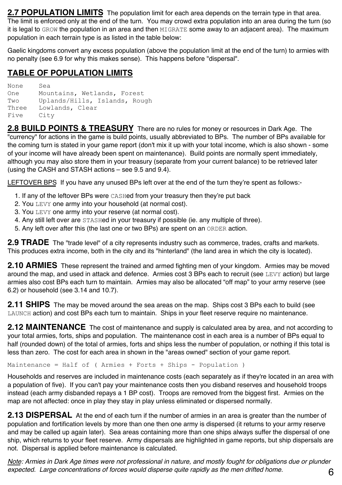**2.7 POPULATION LIMITS** The population limit for each area depends on the terrain type in that area. The limit is enforced only at the end of the turn. You may crowd extra population into an area during the turn (so It is legal to GROW the population in an area and then MIGRATE some away to an adjacent area). The maximum population in each terrain type is as listed in the table below:

Gaelic kingdoms convert any excess population (above the population limit at the end of the turn) to armies with no penalty (see 6.9 for why this makes sense). This happens before "dispersal".

#### **TABLE OF POPULATION LIMITS**

None Sea One Mountains, Wetlands, Forest Two Uplands/Hills, Islands, Rough Three Lowlands, Clear Five City

**2.8 BUILD POINTS & TREASURY** There are no rules for money or resources in Dark Age. The "currency" for actions in the game is build points, usually abbreviated to BPs. The number of BPs available for the coming turn is stated in your game report (don't mix it up with your total income, which is also shown - some of your income will have already been spent on maintenance). Build points are normally spent immediately, although you may also store them in your treasury (separate from your current balance) to be retrieved later (using the CASH and STASH actions – see 9.5 and 9.4).

LEFTOVER BPS If you have any unused BPs left over at the end of the turn they're spent as follows:-

- 1. If any of the leftover BPs were CASHed from your treasury then they're put back
- 2. You LEVY one army into your household (at normal cost).
- 3. You LEVY one army into your reserve (at normal cost).
- 4. Any still left over are STASHed in your treasury if possible (ie. any multiple of three).
- 5. Any left over after this (the last one or two BPs) are spent on an ORDER action.

**2.9 TRADE** The "trade level" of a city represents industry such as commerce, trades, crafts and markets. This produces extra income, both in the city and its "hinterland" (the land area in which the city is located).

**2.10 ARMIES** These represent the trained and armed fighting men of your kingdom. Armies may be moved around the map, and used in attack and defence. Armies cost 3 BPs each to recruit (see LEVY action) but large armies also cost BPs each turn to maintain. Armies may also be allocated "off map" to your army reserve (see 6.2) or household (see 3.14 and 10.7).

**2.11 SHIPS** The may be moved around the sea areas on the map. Ships cost 3 BPs each to build (see LAUNCH action) and cost BPs each turn to maintain. Ships in your fleet reserve require no maintenance.

**2.12 MAINTENANCE** The cost of maintenance and supply is calculated area by area, and not according to your total armies, forts, ships and population. The maintenance cost in each area is a number of BPs equal to half (rounded down) of the total of armies, forts and ships less the number of population, or nothing if this total is less than zero. The cost for each area in shown in the "areas owned" section of your game report.

Maintenance = Half of ( Armies + Forts + Ships - Population )

Households and reserves are included in maintenance costs (each separately as if they're located in an area with a population of five). If you can't pay your maintenance costs then you disband reserves and household troops instead (each army disbanded repays a 1 BP cost). Troops are removed from the biggest first. Armies on the map are not affected: once in play they stay in play unless eliminated or dispersed normally.

2.13 DISPERSAL At the end of each turn if the number of armies in an area is greater than the number of population and fortification levels by more than one then one army is dispersed (it returns to your army reserve and may be called up again later). Sea areas containing more than one ships always suffer the dispersal of one ship, which returns to your fleet reserve. Army dispersals are highlighted in game reports, but ship dispersals are not. Dispersal is applied before maintenance is calculated.

*Note: Armies in Dark Age times were not professional in nature, and mostly fought for obligations due or plunder expected. Large concentrations of forces would disperse quite rapidly as the men drifted home.*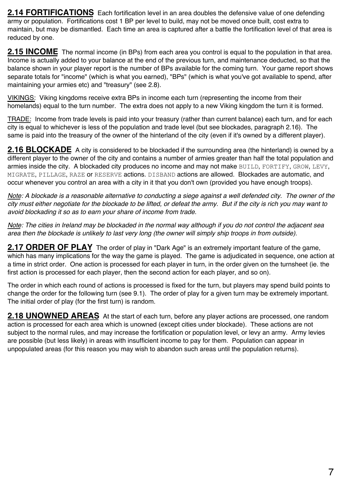**2.14 FORTIFICATIONS** Each fortification level in an area doubles the defensive value of one defending army or population. Fortifications cost 1 BP per level to build, may not be moved once built, cost extra to maintain, but may be dismantled. Each time an area is captured after a battle the fortification level of that area is reduced by one.

**2.15 INCOME** The normal income (in BPs) from each area you control is equal to the population in that area. Income is actually added to your balance at the end of the previous turn, and maintenance deducted, so that the balance shown in your player report is the number of BPs available for the coming turn. Your game report shows separate totals for "income" (which is what you earned), "BPs" (which is what you've got available to spend, after maintaining your armies etc) and "treasury" (see 2.8).

VIKINGS: Viking kingdoms receive extra BPs in income each turn (representing the income from their homelands) equal to the turn number. The extra does not apply to a new Viking kingdom the turn it is formed.

TRADE: Income from trade levels is paid into your treasury (rather than current balance) each turn, and for each city is equal to whichever is less of the population and trade level (but see blockades, paragraph 2.16). The same is paid into the treasury of the owner of the hinterland of the city (even if it's owned by a different player).

**2.16 BLOCKADE** A city is considered to be blockaded if the surrounding area (the hinterland) is owned by a different player to the owner of the city and contains a number of armies greater than half the total population and armies inside the city. A blockaded city produces no income and may not make BUILD, FORTIFY, GROW, LEVY, MIGRATE, PILLAGE, RAZE or RESERVE actions. DISBAND actions are allowed. Blockades are automatic, and occur whenever you control an area with a city in it that you don't own (provided you have enough troops).

*Note: A blockade is a reasonable alternative to conducting a siege against a well defended city. The owner of the city must either negotiate for the blockade to be lifted, or defeat the army. But if the city is rich you may want to avoid blockading it so as to earn your share of income from trade.*

*Note: The cities in Ireland may be blockaded in the normal way although if you do not control the adjacent sea area then the blockade is unlikely to last very long (the owner will simply ship troops in from outside).*

**2.17 ORDER OF PLAY** The order of play in "Dark Age" is an extremely important feature of the game, which has many implications for the way the game is played. The game is adjudicated in sequence, one action at a time in strict order. One action is processed for each player in turn, in the order given on the turnsheet (ie. the first action is processed for each player, then the second action for each player, and so on).

The order in which each round of actions is processed is fixed for the turn, but players may spend build points to change the order for the following turn (see 9.1). The order of play for a given turn may be extremely important. The initial order of play (for the first turn) is random.

**2.18 UNOWNED AREAS** At the start of each turn, before any player actions are processed, one random action is processed for each area which is unowned (except cities under blockade). These actions are not subject to the normal rules, and may increase the fortification or population level, or levy an army. Army levies are possible (but less likely) in areas with insufficient income to pay for them. Population can appear in unpopulated areas (for this reason you may wish to abandon such areas until the population returns).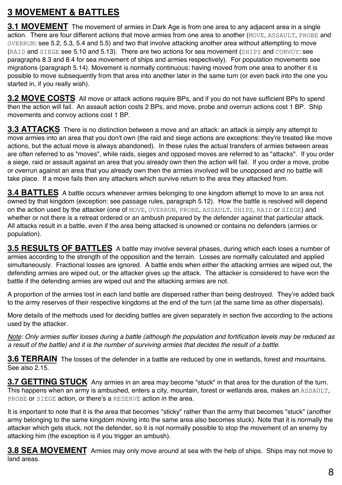## **3 MOVEMENT & BATTLES**

**3.1 MOVEMENT** The movement of armies in Dark Age is from one area to any adiacent area in a single action. There are four different actions that move armies from one area to another (MOVE, ASSAULT, PROBE and OVERRUN: see 5.2, 5.3, 5.4 and 5.5) and two that involve attacking another area without attempting to move (RAID and SIEGE see 5.10 and 5.13). There are two actions for sea movement (SHIPS and CONVOY: see paragraphs 8.3 and 8.4 for sea movement of ships and armies respectively). For population movements see migrations (paragraph 5.14). Movement is normally continuous: having moved from one area to another it is possible to move subsequently from that area into another later in the same turn (or even back into the one you started in, if you really wish).

**3.2 MOVE COSTS** All move or attack actions require BPs, and if you do not have sufficient BPs to spend then the action will fail. An assault action costs 2 BPs, and move, probe and overrun actions cost 1 BP. Ship movements and convoy actions cost 1 BP.

**3.3 ATTACKS** There is no distinction between a move and an attack: an attack is simply any attempt to move armies into an area that you don't own (the raid and siege actions are exceptions: they're treated like move actions, but the actual move is always abandoned). In these rules the actual transfers of armies between areas are often referred to as "moves", while raids, sieges and opposed moves are referred to as "attacks". If you order a siege, raid or assault against an area that you already own then the action will fail. If you order a move, probe or overrun against an area that you already own then the armies involved will be unopposed and no battle will take place. If a move fails then any attackers which survive return to the area they attacked from.

**3.4 BATTLES** A battle occurs whenever armies belonging to one kingdom attempt to move to an area not owned by that kingdom (exception: see passage rules, paragraph 5.12). How the battle is resolved will depend on the action used by the attacker (one of MOVE, OVERRUN, PROBE, ASSAULT, SHIPS, RAID or SIEGE) and whether or not there is a retreat ordered or an ambush prepared by the defender against that particular attack. All attacks result in a battle, even if the area being attacked is unowned or contains no defenders (armies or population).

**3.5 RESULTS OF BATTLES** A battle may involve several phases, during which each loses a number of armies according to the strength of the opposition and the terrain. Losses are normally calculated and applied simultaneously. Fractional losses are ignored. A battle ends when either the attacking armies are wiped out, the defending armies are wiped out, or the attacker gives up the attack. The attacker is considered to have won the battle if the defending armies are wiped out and the attacking armies are not.

A proportion of the armies lost in each land battle are dispersed rather than being destroyed. They're added back to the army reserves of their respective kingdoms at the end of the turn (at the same time as other dispersals).

More details of the methods used for deciding battles are given separately in section five according to the actions used by the attacker.

*Note: Only armies suffer losses during a battle (although the population and fortification levels may be reduced as a result of the battle) and it is the number of surviving armies that decides the result of a battle.*

**3.6 TERRAIN** The losses of the defender in a battle are reduced by one in wetlands, forest and mountains. See also 2.15.

**3.7 GETTING STUCK** Any armies in an area may become "stuck" in that area for the duration of the turn. This happens when an army is ambushed, enters a city, mountain, forest or wetlands area, makes an ASSAULT, PROBE or SIEGE action, or there's a RESERVE action in the area.

It is important to note that it is the area that becomes "sticky" rather than the army that becomes "stuck" (another army belonging to the same kingdom moving into the same area also becomes stuck). Note that it is normally the attacker which gets stuck, not the defender, so it is not normally possible to stop the movement of an enemy by attacking him (the exception is if you trigger an ambush).

**3.8 SEA MOVEMENT** Armies may only move around at sea with the help of ships. Ships may not move to land areas.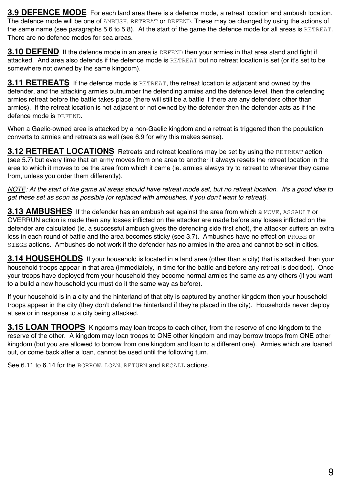**3.9 DEFENCE MODE** For each land area there is a defence mode, a retreat location and ambush location. The defence mode will be one of AMBUSH, RETREAT or DEFEND. These may be changed by using the actions of the same name (see paragraphs 5.6 to 5.8). At the start of the game the defence mode for all areas is RETREAT. There are no defence modes for sea areas.

**3.10 DEFEND** If the defence mode in an area is DEFEND then your armies in that area stand and fight if attacked. And area also defends if the defence mode is RETREAT but no retreat location is set (or it's set to be somewhere not owned by the same kingdom).

**3.11 RETREATS** If the defence mode is RETREAT, the retreat location is adjacent and owned by the defender, and the attacking armies outnumber the defending armies and the defence level, then the defending armies retreat before the battle takes place (there will still be a battle if there are any defenders other than armies). If the retreat location is not adjacent or not owned by the defender then the defender acts as if the defence mode is DEFEND.

When a Gaelic-owned area is attacked by a non-Gaelic kingdom and a retreat is triggered then the population converts to armies and retreats as well (see 6.9 for why this makes sense).

**3.12 RETREAT LOCATIONS** Retreats and retreat locations may be set by using the RETREAT action (see 5.7) but every time that an army moves from one area to another it always resets the retreat location in the area to which it moves to be the area from which it came (ie. armies always try to retreat to wherever they came from, unless you order them differently).

*NOTE: At the start of the game all areas should have retreat mode set, but no retreat location. It's a good idea to get these set as soon as possible (or replaced with ambushes, if you don't want to retreat).*

**3.13 AMBUSHES** If the defender has an ambush set against the area from which a MOVE, ASSAULT or OVERRUN action is made then any losses inflicted on the attacker are made before any losses inflicted on the defender are calculated (ie. a successful ambush gives the defending side first shot), the attacker suffers an extra loss in each round of battle and the area becomes sticky (see 3.7). Ambushes have no effect on PROBE or STEGE actions. Ambushes do not work if the defender has no armies in the area and cannot be set in cities.

**3.14 HOUSEHOLDS** If your household is located in a land area (other than a city) that is attacked then your household troops appear in that area (immediately, in time for the battle and before any retreat is decided). Once your troops have deployed from your household they become normal armies the same as any others (if you want to a build a new household you must do it the same way as before).

If your household is in a city and the hinterland of that city is captured by another kingdom then your household troops appear in the city (they don't defend the hinterland if they're placed in the city). Households never deploy at sea or in response to a city being attacked.

**3.15 LOAN TROOPS** Kingdoms may loan troops to each other, from the reserve of one kingdom to the reserve of the other. A kingdom may loan troops to ONE other kingdom and may borrow troops from ONE other kingdom (but you are allowed to borrow from one kingdom and loan to a different one). Armies which are loaned out, or come back after a loan, cannot be used until the following turn.

See 6.11 to 6.14 for the BORROW, LOAN, RETURN and RECALL actions.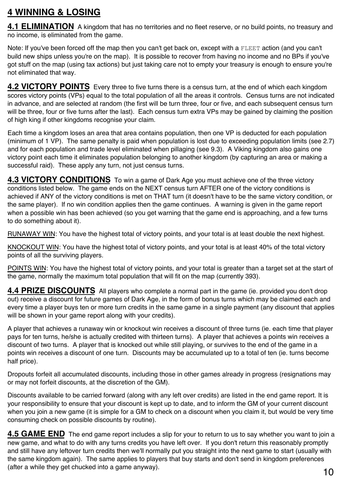### **4 WINNING & LOSING**

**4.1 ELIMINATION** A kingdom that has no territories and no fleet reserve, or no build points, no treasury and no income, is eliminated from the game.

Note: If you've been forced off the map then you can't get back on, except with a FLEET action (and you can't build new ships unless you're on the map). It is possible to recover from having no income and no BPs if you've got stuff on the map (using tax actions) but just taking care not to empty your treasury is enough to ensure you're not eliminated that way.

**4.2 VICTORY POINTS** Every three to five turns there is a census turn, at the end of which each kingdom scores victory points (VPs) equal to the total population of all the areas it controls. Census turns are not indicated in advance, and are selected at random (the first will be turn three, four or five, and each subsequent census turn will be three, four or five turns after the last). Each census turn extra VPs may be gained by claiming the position of high king if other kingdoms recognise your claim.

Each time a kingdom loses an area that area contains population, then one VP is deducted for each population (minimum of 1 VP). The same penalty is paid when population is lost due to exceeding population limits (see 2.7) and for each population and trade level eliminated when pillaging (see 9.3). A Viking kingdom also gains one victory point each time it eliminates population belonging to another kingdom (by capturing an area or making a successful raid). These apply any turn, not just census turns.

**4.3 VICTORY CONDITIONS** To win a game of Dark Age you must achieve one of the three victory conditions listed below. The game ends on the NEXT census turn AFTER one of the victory conditions is achieved if ANY of the victory conditions is met on THAT turn (it doesn't have to be the same victory condition, or the same player). If no win condition applies then the game continues. A warning is given in the game report when a possible win has been achieved (so you get warning that the game end is approaching, and a few turns to do something about it).

RUNAWAY WIN: You have the highest total of victory points, and your total is at least double the next highest.

KNOCKOUT WIN: You have the highest total of victory points, and your total is at least 40% of the total victory points of all the surviving players.

POINTS WIN: You have the highest total of victory points, and your total is greater than a target set at the start of the game, normally the maximum total population that will fit on the map (currently 393).

**4.4 PRIZE DISCOUNTS** All players who complete a normal part in the game (ie. provided you don't drop out) receive a discount for future games of Dark Age, in the form of bonus turns which may be claimed each and every time a player buys ten or more turn credits in the same game in a single payment (any discount that applies will be shown in your game report along with your credits).

A player that achieves a runaway win or knockout win receives a discount of three turns (ie. each time that player pays for ten turns, he/she is actually credited with thirteen turns). A player that achieves a points win receives a discount of two turns. A player that is knocked out while still playing, or survives to the end of the game in a points win receives a discount of one turn. Discounts may be accumulated up to a total of ten (ie. turns become half price).

Dropouts forfeit all accumulated discounts, including those in other games already in progress (resignations may or may not forfeit discounts, at the discretion of the GM).

Discounts available to be carried forward (along with any left over credits) are listed in the end game report. It is your responsibility to ensure that your discount is kept up to date, and to inform the GM of your current discount when you join a new game (it is simple for a GM to check on a discount when you claim it, but would be very time consuming check on possible discounts by routine).

**4.5 GAME END** The end game report includes a slip for your to return to us to say whether you want to join a new game, and what to do with any turns credits you have left over. If you don't return this reasonably promptly and still have any leftover turn credits then we'll normally put you straight into the next game to start (usually with the same kingdom again). The same applies to players that buy starts and don't send in kingdom preferences (after a while they get chucked into a game anyway).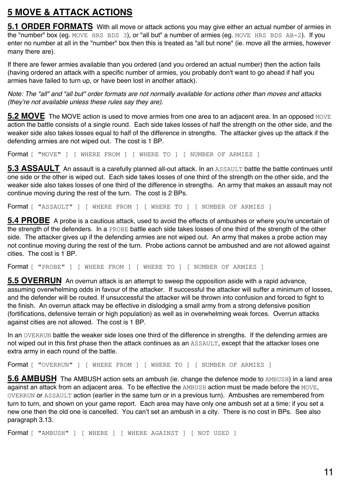## **5 MOVE & ATTACK ACTIONS**

**5.1 ORDER FORMATS** With all move or attack actions you may give either an actual number of armies in the "number" box (eg. MOVE HRS BDS 3), or "all but" a number of armies (eg. MOVE HRS BDS AB-2). If you enter no number at all in the "number" box then this is treated as "all but none" (ie. move all the armies, however many there are).

If there are fewer armies available than you ordered (and you ordered an actual number) then the action fails (having ordered an attack with a specific number of armies, you probably don't want to go ahead if half you armies have failed to turn up, or have been lost in another attack).

*Note: The "all" and "all but" order formats are not normally available for actions other than moves and attacks (they're not available unless these rules say they are).*

**5.2 MOVE** The MOVE action is used to move armies from one area to an adiacent area. In an opposed MOVE action the battle consists of a single round. Each side takes losses of half the strength on the other side, and the weaker side also takes losses equal to half of the difference in strengths. The attacker gives up the attack if the defending armies are not wiped out. The cost is 1 BP.

Format [ "MOVE" ] [ WHERE FROM ] [ WHERE TO ] [ NUMBER OF ARMIES ]

**5.3 ASSAULT** An assault is a carefully planned all-out attack. In an ASSAULT battle the battle continues until one side or the other is wiped out. Each side takes losses of one third of the strength on the other side, and the weaker side also takes losses of one third of the difference in strengths. An army that makes an assault may not continue moving during the rest of the turn. The cost is 2 BPs.

Format [ "ASSAULT" ] [ WHERE FROM ] [ WHERE TO ] [ NUMBER OF ARMIES ]

**5.4 PROBE** A probe is a cautious attack, used to avoid the effects of ambushes or where you're uncertain of the strength of the defenders. In a PROBE battle each side takes losses of one third of the strength of the other side. The attacker gives up if the defending armies are not wiped out. An army that makes a probe action may not continue moving during the rest of the turn. Probe actions cannot be ambushed and are not allowed against cities. The cost is 1 BP.

Format [ "PROBE" ] [ WHERE FROM ] [ WHERE TO ] [ NUMBER OF ARMIES ]

**5.5 OVERRUN** An overrun attack is an attempt to sweep the opposition aside with a rapid advance, assuming overwhelming odds in favour of the attacker. If successful the attacker will suffer a minimum of losses, and the defender will be routed. If unsuccessful the attacker will be thrown into confusion and forced to fight to the finish. An overrun attack may be effective in dislodging a small army from a strong defensive position (fortifications, defensive terrain or high population) as well as in overwhelming weak forces. Overrun attacks against cities are not allowed. The cost is 1 BP.

In an OVERRUN battle the weaker side loses one third of the difference in strengths. If the defending armies are not wiped out in this first phase then the attack continues as an ASSAULT, except that the attacker loses one extra army in each round of the battle.

```
Format [ "OVERRUN" ] [ WHERE FROM ] [ WHERE TO ] [ NUMBER OF ARMIES ]
```
**5.6 AMBUSH** The AMBUSH action sets an ambush (ie. change the defence mode to AMBUSH) in a land area against an attack from an adjacent area. To be effective the AMBUSH action must be made before the MOVE, OVERRUN or ASSAULT action (earlier in the same turn or in a previous turn). Ambushes are remembered from turn to turn, and shown on your game report. Each area may have only one ambush set at a time: if you set a new one then the old one is cancelled. You can't set an ambush in a city. There is no cost in BPs. See also paragraph 3.13.

Format [ "AMBUSH" ] [ WHERE ] [ WHERE AGAINST ] [ NOT USED ]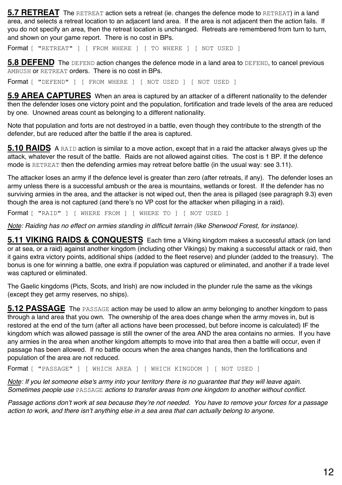**5.7 RETREAT** The RETREAT action sets a retreat (ie. changes the defence mode to RETREAT) in a land area, and selects a retreat location to an adjacent land area. If the area is not adjacent then the action fails. If you do not specify an area, then the retreat location is unchanged. Retreats are remembered from turn to turn, and shown on your game report. There is no cost in BPs.

Format [ "RETREAT" ] [ FROM WHERE ] [ TO WHERE ] [ NOT USED ]

**5.8 DEFEND** The DEFEND action changes the defence mode in a land area to DEFEND, to cancel previous AMBUSH or RETREAT orders. There is no cost in BPs.

Format [ "DEFEND" ] [ FROM WHERE ] [ NOT USED ] [ NOT USED ]

**5.9 AREA CAPTURES** When an area is captured by an attacker of a different nationality to the defender then the defender loses one victory point and the population, fortification and trade levels of the area are reduced by one. Unowned areas count as belonging to a different nationality.

Note that population and forts are not destroyed in a battle, even though they contribute to the strength of the defender, but are reduced after the battle if the area is captured.

**5.10 RAIDS** A RAID action is similar to a move action, except that in a raid the attacker always gives up the attack, whatever the result of the battle. Raids are not allowed against cities. The cost is 1 BP. If the defence mode is RETREAT then the defending armies may retreat before battle (in the usual way: see 3.11).

The attacker loses an army if the defence level is greater than zero (after retreats, if any). The defender loses an army unless there is a successful ambush or the area is mountains, wetlands or forest. If the defender has no surviving armies in the area, and the attacker is not wiped out, then the area is pillaged (see paragraph 9.3) even though the area is not captured (and there's no VP cost for the attacker when pillaging in a raid).

Format [ "RAID" ] [ WHERE FROM ] [ WHERE TO ] [ NOT USED ]

*Note: Raiding has no effect on armies standing in difficult terrain (like Sherwood Forest, for instance).*

**5.11 VIKING RAIDS & CONQUESTS** Each time a Viking kingdom makes a successful attack (on land or at sea, or a raid) against another kingdom (including other Vikings) by making a successful attack or raid, then it gains extra victory points, additional ships (added to the fleet reserve) and plunder (added to the treasury). The bonus is one for winning a battle, one extra if population was captured or eliminated, and another if a trade level was captured or eliminated.

The Gaelic kingdoms (Picts, Scots, and Irish) are now included in the plunder rule the same as the vikings (except they get army reserves, no ships).

**5.12 PASSAGE** The PASSAGE action may be used to allow an army belonging to another kingdom to pass through a land area that you own. The ownership of the area does change when the army moves in, but is restored at the end of the turn (after all actions have been processed, but before income is calculated) IF the kingdom which was allowed passage is still the owner of the area AND the area contains no armies. If you have any armies in the area when another kingdom attempts to move into that area then a battle will occur, even if passage has been allowed. If no battle occurs when the area changes hands, then the fortifications and population of the area are not reduced.

Format [ "PASSAGE" ] [ WHICH AREA ] [ WHICH KINGDOM ] [ NOT USED ]

*Note: If you let someone else's army into your territory there is no guarantee that they will leave again. Sometimes people use* PASSAGE *actions to transfer areas from one kingdom to another without conflict.*

*Passage actions don't work at sea because they're not needed. You have to remove your forces for a passage action to work, and there isn't anything else in a sea area that can actually belong to anyone.*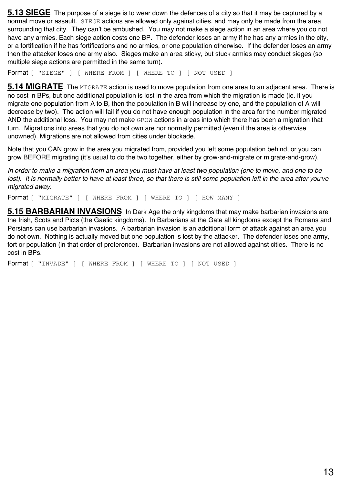**5.13 SIEGE** The purpose of a siege is to wear down the defences of a city so that it may be captured by a normal move or assault. SIEGE actions are allowed only against cities, and may only be made from the area surrounding that city. They can't be ambushed. You may not make a siege action in an area where you do not have any armies. Each siege action costs one BP. The defender loses an army if he has any armies in the city, or a fortification if he has fortifications and no armies, or one population otherwise. If the defender loses an army then the attacker loses one army also. Sieges make an area sticky, but stuck armies may conduct sieges (so multiple siege actions are permitted in the same turn).

Format [ "SIEGE" ] [ WHERE FROM ] [ WHERE TO ] [ NOT USED ]

**5.14 MIGRATE** The MIGRATE action is used to move population from one area to an adiacent area. There is no cost in BPs, but one additional population is lost in the area from which the migration is made (ie. if you migrate one population from A to B, then the population in B will increase by one, and the population of A will decrease by two). The action will fail if you do not have enough population in the area for the number migrated AND the additional loss. You may not make GROW actions in areas into which there has been a migration that turn. Migrations into areas that you do not own are nor normally permitted (even if the area is otherwise unowned). Migrations are not allowed from cities under blockade.

Note that you CAN grow in the area you migrated from, provided you left some population behind, or you can grow BEFORE migrating (it's usual to do the two together, either by grow-and-migrate or migrate-and-grow).

*In order to make a migration from an area you must have at least two population (one to move, and one to be*  lost). It is normally better to have at least three, so that there is still some population left in the area after you've *migrated away.*

Format [ "MIGRATE" ] [ WHERE FROM ] [ WHERE TO ] [ HOW MANY ]

**5.15 BARBARIAN INVASIONS** In Dark Age the only kingdoms that may make barbarian invasions are the Irish, Scots and Picts (the Gaelic kingdoms). In Barbarians at the Gate all kingdoms except the Romans and Persians can use barbarian invasions. A barbarian invasion is an additional form of attack against an area you do not own. Nothing is actually moved but one population is lost by the attacker. The defender loses one army, fort or population (in that order of preference). Barbarian invasions are not allowed against cities. There is no cost in BPs.

Format [ "INVADE" ] [ WHERE FROM ] [ WHERE TO ] [ NOT USED ]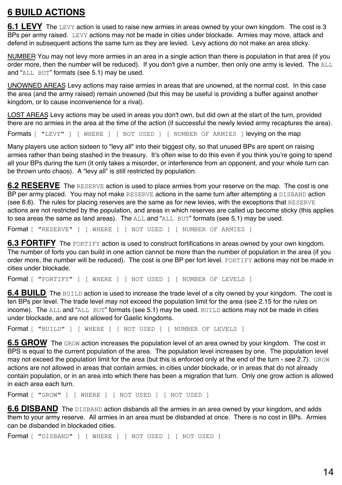## **6 BUILD ACTIONS**

**6.1 LEVY** The LEVY action is used to raise new armies in areas owned by your own kingdom. The cost is 3 BPs per army raised. LEVY actions may not be made in cities under blockade. Armies may move, attack and defend in subsequent actions the same turn as they are levied. Levy actions do not make an area sticky.

NUMBER You may not levy more armies in an area in a single action than there is population in that area (if you order more, then the number will be reduced). If you don't give a number, then only one army is levied. The ALL and "ALL BUT" formats (see 5.1) may be used.

UNOWNED AREAS Levy actions may raise armies in areas that are unowned, at the normal cost. In this case the area (and the army raised) remain unowned (but this may be useful is providing a buffer against another kingdom, or to cause inconvenience for a rival).

LOST AREAS Levy actions may be used in areas you don't own, but did own at the start of the turn, provided there are no armies in the area at the time of the action (if successful the newly levied army recaptures the area).

Formats [ "LEVY" ] [ WHERE ] [ NOT USED ] [ NUMBER OF ARMIES ] levying on the map

Many players use action sixteen to "levy all" into their biggest city, so that unused BPs are spent on raising armies rather than being stashed in the treasury. It's often wise to do this even if you think you're going to spend all your BPs during the turn (it only takes a misorder, or interference from an opponent, and your whole turn can be thrown unto chaos). A "levy all" is still restricted by population.

**6.2 RESERVE** The RESERVE action is used to place armies from your reserve on the map. The cost is one BP per army placed. You may not make RESERVE actions in the same turn after attempting a DISBAND action (see 6.6). The rules for placing reserves are the same as for new levies, with the exceptions that RESERVE actions are not restricted by the population, and areas in which reserves are called up become sticky (this applies to sea areas the same as land areas). The  $A_{\text{L}}$  and " $A_{\text{L}}$ ,  $B_{\text{L}}$ " formats (see 5.1) may be used.

Format [ "RESERVE" ] [ WHERE ] [ NOT USED ] [ NUMBER OF ARMIES ]

**6.3 FORTIFY** The FORTIFY action is used to construct fortifications in areas owned by your own kingdom. The number of forts you can build in one action cannot be more than the number of population in the area (if you order more, the number will be reduced). The cost is one BP per fort level. FORTIFY actions may not be made in cities under blockade.

Format [ "FORTIFY" ] [ WHERE ] [ NOT USED ] [ NUMBER OF LEVELS ]

**6.4 BUILD** The BUILD action is used to increase the trade level of a city owned by your kingdom. The cost is ten BPs per level. The trade level may not exceed the population limit for the area (see 2.15 for the rules on income). The ALL and "ALL BUT" formats (see 5.1) may be used. BUILD actions may not be made in cities under blockade, and are not allowed for Gaelic kingdoms.

Format [ "BUILD" ] [ WHERE ] [ NOT USED ] [ NUMBER OF LEVELS ]

**6.5 GROW** The GROW action increases the population level of an area owned by your kingdom. The cost in BPS is equal to the current population of the area. The population level increases by one. The population level may not exceed the population limit for the area (but this is enforced only at the end of the turn - see 2.7). GROW actions are not allowed in areas that contain armies, in cities under blockade, or in areas that do not already contain population, or in an area into which there has been a migration that turn. Only one grow action is allowed in each area each turn.

Format [ "GROW" ] [ WHERE ] [ NOT USED ] [ NOT USED ]

**6.6 DISBAND** The DISBAND action disbands all the armies in an area owned by your kingdom, and adds them to your army reserve. All armies in an area must be disbanded at once. There is no cost in BPs. Armies can be disbanded in blockaded cities.

Format [ "DISBAND" ] [ WHERE ] [ NOT USED ] [ NOT USED ]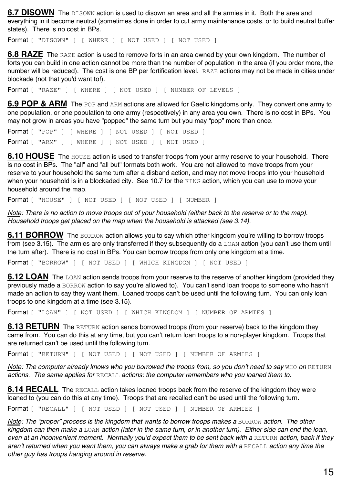**6.7 DISOWN** The DISOWN action is used to disown an area and all the armies in it. Both the area and everything in it become neutral (sometimes done in order to cut army maintenance costs, or to build neutral buffer states). There is no cost in BPs.

Format [ "DISOWN" ] [ WHERE ] [ NOT USED ] [ NOT USED ]

**6.8 RAZE** The RAZE action is used to remove forts in an area owned by your own kingdom. The number of forts you can build in one action cannot be more than the number of population in the area (if you order more, the number will be reduced). The cost is one BP per fortification level. RAZE actions may not be made in cities under blockade (not that you'd want to!).

Format [ "RAZE" ] [ WHERE ] [ NOT USED ] [ NUMBER OF LEVELS ]

**6.9 POP & ARM** The POP and ARM actions are allowed for Gaelic kingdoms only. They convert one army to one population, or one population to one army (respectively) in any area you own. There is no cost in BPs. You may not grow in areas you have "popped" the same turn but you may "pop" more than once.

Format [ "POP" ] [ WHERE ] [ NOT USED ] [ NOT USED ] Format [ "ARM" ] [ WHERE ] [ NOT USED ] [ NOT USED ]

**6.10 HOUSE** The HOUSE action is used to transfer troops from your army reserve to your household. There is no cost in BPs. The "all" and "all but" formats both work. You are not allowed to move troops from your reserve to your household the same turn after a disband action, and may not move troops into your household when your household is in a blockaded city. See 10.7 for the KING action, which you can use to move your household around the map.

Format [ "HOUSE" ] [ NOT USED ] [ NOT USED ] [ NUMBER ]

*Note: There is no action to move troops out of your household (either back to the reserve or to the map). Household troops get placed on the map when the household is attacked (see 3.14).*

**6.11 BORROW** The BORROW action allows you to say which other kingdom you're willing to borrow troops from (see 3.15). The armies are only transferred if they subsequently do a LOAN action (you can't use them until the turn after). There is no cost in BPs. You can borrow troops from only one kingdom at a time.

Format [ "BORROW" ] [ NOT USED ] [ WHICH KINGDOM ] [ NOT USED ]

**6.12 LOAN** The LOAN action sends troops from your reserve to the reserve of another kingdom (provided they previously made a BORROW action to say you're allowed to). You can't send loan troops to someone who hasn't made an action to say they want them. Loaned troops can't be used until the following turn. You can only loan troops to one kingdom at a time (see 3.15).

Format [ "LOAN" ] [ NOT USED ] [ WHICH KINGDOM ] [ NUMBER OF ARMIES ]

**6.13 RETURN** The RETURN action sends borrowed troops (from your reserve) back to the kingdom they came from. You can do this at any time, but you can't return loan troops to a non-player kingdom. Troops that are returned can't be used until the following turn.

Format [ "RETURN" ] [ NOT USED ] [ NOT USED ] [ NUMBER OF ARMIES ]

*Note: The computer already knows who you borrowed the troops from, so you don't need to say WHO on RETURN actions. The same applies for* RECALL *actions: the computer remembers who you loaned them to.*

**6.14 RECALL** The RECALL action takes loaned troops back from the reserve of the kingdom they were loaned to (you can do this at any time). Troops that are recalled can't be used until the following turn.

Format [ "RECALL" ] [ NOT USED ] [ NOT USED ] [ NUMBER OF ARMIES ]

*Note: The "proper" process is the kingdom that wants to borrow troops makes a BORROW action. The other kingdom can then make a* LOAN *action (later in the same turn, or in another turn). Either side can end the loan,*   $e$ ven at an inconvenient moment. Normally you'd expect them to be sent back with a RETURN action, back if they *aren't returned when you want them, you can always make a grab for them with a* RECALL *action any time the other guy has troops hanging around in reserve.*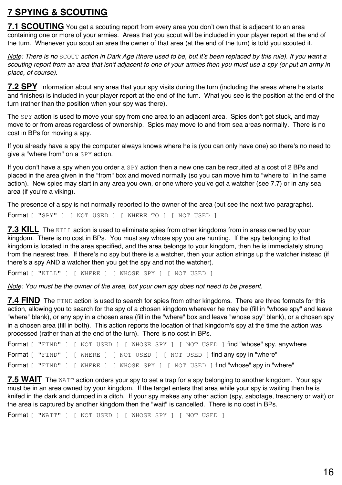## **7 SPYING & SCOUTING**

**7.1 SCOUTING** You get a scouting report from every area you don't own that is adjacent to an area containing one or more of your armies. Areas that you scout will be included in your player report at the end of the turn. Whenever you scout an area the owner of that area (at the end of the turn) is told you scouted it.

*Note: There is no* SCOUT *action in Dark Age (there used to be, but it's been replaced by this rule). If you want a scouting report from an area that isn't adjacent to one of your armies then you must use a spy (or put an army in place, of course).*

**7.2 SPY** Information about any area that your spy visits during the turn (including the areas where he starts and finishes) is included in your player report at the end of the turn. What you see is the position at the end of the turn (rather than the position when your spy was there).

The SPY action is used to move your spy from one area to an adiacent area. Spies don't get stuck, and may move to or from areas regardless of ownership. Spies may move to and from sea areas normally. There is no cost in BPs for moving a spy.

If you already have a spy the computer always knows where he is (you can only have one) so there's no need to give a "where from" on a SPY action.

If you don't have a spy when you order a SPY action then a new one can be recruited at a cost of 2 BPs and placed in the area given in the "from" box and moved normally (so you can move him to "where to" in the same action). New spies may start in any area you own, or one where you've got a watcher (see 7.7) or in any sea area (if you're a viking).

The presence of a spy is not normally reported to the owner of the area (but see the next two paragraphs).

Format [ "SPY" ] [ NOT USED ] [ WHERE TO ] [ NOT USED ]

**7.3 KILL** The KILL action is used to eliminate spies from other kingdoms from in areas owned by your kingdom. There is no cost in BPs. You must say whose spy you are hunting. If the spy belonging to that kingdom is located in the area specified, and the area belongs to your kingdom, then he is immediately strung from the nearest tree. If there's no spy but there is a watcher, then your action strings up the watcher instead (if there's a spy AND a watcher then you get the spy and not the watcher).

Format [ "KILL" ] [ WHERE ] [ WHOSE SPY ] [ NOT USED ]

*Note: You must be the owner of the area, but your own spy does not need to be present.*

**7.4 FIND** The FIND action is used to search for spies from other kingdoms. There are three formats for this action, allowing you to search for the spy of a chosen kingdom wherever he may be (fill in "whose spy" and leave "where" blank), or any spy in a chosen area (fill in the "where" box and leave "whose spy" blank), or a chosen spy in a chosen area (fill in both). This action reports the location of that kingdom's spy at the time the action was processed (rather than at the end of the turn). There is no cost in BPs.

```
Format [ "FIND" ] [ NOT USED ] [ WHOSE SPY ] [ NOT USED ] find "whose" spy, anywhere
Format [ "FIND" ] [ WHERE ] [ NOT USED ] [ NOT USED ] find any spy in "where"
Format [ "FIND" ] [ WHERE ] [ WHOSE SPY ] [ NOT USED ] find "whose" spy in "where"
```
**7.5 WAIT** The WAIT action orders your spy to set a trap for a spy belonging to another kingdom. Your spy must be in an area owned by your kingdom. If the target enters that area while your spy is waiting then he is knifed in the dark and dumped in a ditch. If your spy makes any other action (spy, sabotage, treachery or wait) or the area is captured by another kingdom then the "wait" is cancelled. There is no cost in BPs.

Format [ "WAIT" ] [ NOT USED ] [ WHOSE SPY ] [ NOT USED ]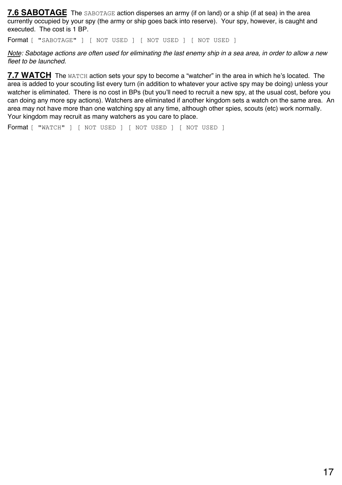**7.6 SABOTAGE** The SABOTAGE action disperses an army (if on land) or a ship (if at sea) in the area currently occupied by your spy (the army or ship goes back into reserve). Your spy, however, is caught and executed. The cost is 1 BP.

Format [ "SABOTAGE" ] [ NOT USED ] [ NOT USED ] [ NOT USED ]

*Note: Sabotage actions are often used for eliminating the last enemy ship in a sea area, in order to allow a new fleet to be launched.*

**7.7 WATCH** The WATCH action sets your spy to become a "watcher" in the area in which he's located. The area is added to your scouting list every turn (in addition to whatever your active spy may be doing) unless your watcher is eliminated. There is no cost in BPs (but you'll need to recruit a new spy, at the usual cost, before you can doing any more spy actions). Watchers are eliminated if another kingdom sets a watch on the same area. An area may not have more than one watching spy at any time, although other spies, scouts (etc) work normally. Your kingdom may recruit as many watchers as you care to place.

Format [ "WATCH" ] [ NOT USED ] [ NOT USED ] [ NOT USED ]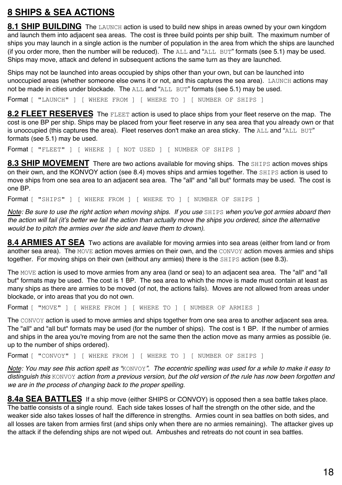### **8 SHIPS & SEA ACTIONS**

**8.1 SHIP BUILDING** The LAUNCH action is used to build new ships in areas owned by your own kingdom and launch them into adjacent sea areas. The cost is three build points per ship built. The maximum number of ships you may launch in a single action is the number of population in the area from which the ships are launched (if you order more, then the number will be reduced). The  $ALL$  and " $ALL$  BUT" formats (see 5.1) may be used. Ships may move, attack and defend in subsequent actions the same turn as they are launched.

Ships may not be launched into areas occupied by ships other than your own, but can be launched into unoccupied areas (whether someone else owns it or not, and this captures the sea area). LAUNCH actions may not be made in cities under blockade. The ALL and "ALL BUT" formats (see 5.1) may be used.

Format [ "LAUNCH" ] [ WHERE FROM ] [ WHERE TO ] [ NUMBER OF SHIPS ]

**8.2 FLEET RESERVES** The FLEET action is used to place ships from your fleet reserve on the map. The cost is one BP per ship. Ships may be placed from your fleet reserve in any sea area that you already own or that is unoccupied (this captures the area). Fleet reserves don't make an area sticky. The  $\text{ALL}$  and " $\text{ALL}$  BUT" formats (see 5.1) may be used.

Format [ "FLEET" ] [ WHERE ] [ NOT USED ] [ NUMBER OF SHIPS ]

**8.3 SHIP MOVEMENT** There are two actions available for moving ships. The SHIPS action moves ships on their own, and the KONVOY action (see 8.4) moves ships and armies together. The SHIPS action is used to move ships from one sea area to an adjacent sea area. The "all" and "all but" formats may be used. The cost is one BP.

Format [ "SHIPS" ] [ WHERE FROM ] [ WHERE TO ] [ NUMBER OF SHIPS ]

*Note: Be sure to use the right action when moving ships. If you use* SHIPS when you've got armies aboard then the action will fail (it's better we fail the action than actually move the ships you ordered, since the alternative *would be to pitch the armies over the side and leave them to drown).*

**8.4 ARMIES AT SEA** Two actions are available for moving armies into sea areas (either from land or from another sea area). The MOVE action moves armies on their own, and the CONVOY action moves armies and ships together. For moving ships on their own (without any armies) there is the SHIPS action (see 8.3).

The MOVE action is used to move armies from any area (land or sea) to an adjacent sea area. The "all" and "all but" formats may be used. The cost is 1 BP. The sea area to which the move is made must contain at least as many ships as there are armies to be moved (of not, the actions fails). Moves are not allowed from areas under blockade, or into areas that you do not own.

Format [ "MOVE" ] [ WHERE FROM ] [ WHERE TO ] [ NUMBER OF ARMIES ]

The CONVOY action is used to move armies and ships together from one sea area to another adjacent sea area. The "all" and "all but" formats may be used (for the number of ships). The cost is 1 BP. If the number of armies and ships in the area you're moving from are not the same then the action move as many armies as possible (ie. up to the number of ships ordered).

Format [ "CONVOY" ] [ WHERE FROM ] [ WHERE TO ] [ NUMBER OF SHIPS ]

*Note: You may see this action spelt as "*KONVOY*". The eccentric spelling was used for a while to make it easy to distinguish this* KONVOY *action from a previous version, but the old version of the rule has now been forgotten and we are in the process of changing back to the proper spelling.*

**8.4a SEA BATTLES** If a ship move (either SHIPS or CONVOY) is opposed then a sea battle takes place. The battle consists of a single round. Each side takes losses of half the strength on the other side, and the weaker side also takes losses of half the difference in strengths. Armies count in sea battles on both sides, and all losses are taken from armies first (and ships only when there are no armies remaining). The attacker gives up the attack if the defending ships are not wiped out. Ambushes and retreats do not count in sea battles.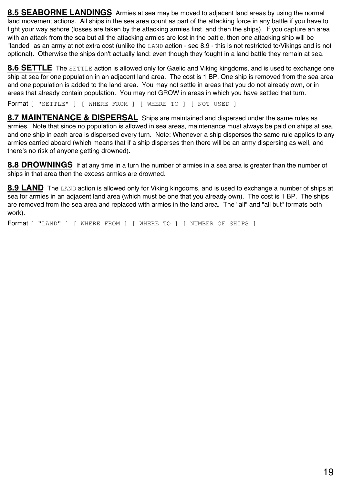**8.5 SEABORNE LANDINGS** Armies at sea may be moved to adjacent land areas by using the normal land movement actions. All ships in the sea area count as part of the attacking force in any battle if you have to fight your way ashore (losses are taken by the attacking armies first, and then the ships). If you capture an area with an attack from the sea but all the attacking armies are lost in the battle, then one attacking ship will be "landed" as an army at not extra cost (unlike the LAND action - see 8.9 - this is not restricted to/Vikings and is not optional). Otherwise the ships don't actually land: even though they fought in a land battle they remain at sea.

**8.6 SETTLE** The SETTLE action is allowed only for Gaelic and Viking kingdoms, and is used to exchange one ship at sea for one population in an adjacent land area. The cost is 1 BP. One ship is removed from the sea area and one population is added to the land area. You may not settle in areas that you do not already own, or in areas that already contain population. You may not GROW in areas in which you have settled that turn.

Format [ "SETTLE" ] [ WHERE FROM ] [ WHERE TO ] [ NOT USED ]

**8.7 MAINTENANCE & DISPERSAL** Ships are maintained and dispersed under the same rules as armies. Note that since no population is allowed in sea areas, maintenance must always be paid on ships at sea, and one ship in each area is dispersed every turn. Note: Whenever a ship disperses the same rule applies to any armies carried aboard (which means that if a ship disperses then there will be an army dispersing as well, and there's no risk of anyone getting drowned).

**8.8 DROWNINGS** If at any time in a turn the number of armies in a sea area is greater than the number of ships in that area then the excess armies are drowned.

**8.9 LAND** The LAND action is allowed only for Viking kingdoms, and is used to exchange a number of ships at sea for armies in an adjacent land area (which must be one that you already own). The cost is 1 BP. The ships are removed from the sea area and replaced with armies in the land area. The "all" and "all but" formats both work).

Format [ "LAND" ] [ WHERE FROM ] [ WHERE TO ] [ NUMBER OF SHIPS ]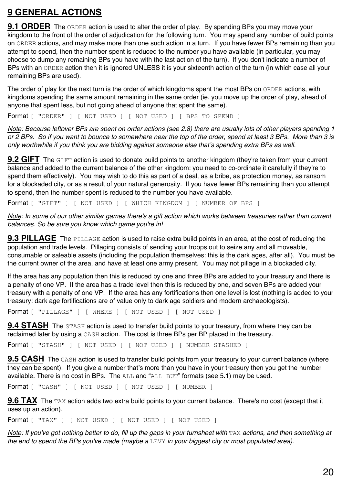## **9 GENERAL ACTIONS**

**9.1 ORDER** The ORDER action is used to alter the order of play. By spending BPs you may move your kingdom to the front of the order of adjudication for the following turn. You may spend any number of build points on ORDER actions, and may make more than one such action in a turn. If you have fewer BPs remaining than you attempt to spend, then the number spent is reduced to the number you have available (in particular, you may choose to dump any remaining BPs you have with the last action of the turn). If you don't indicate a number of BPs with an ORDER action then it is ignored UNLESS it is your sixteenth action of the turn (in which case all your remaining BPs are used).

The order of play for the next turn is the order of which kingdoms spent the most BPs on ORDER actions, with kingdoms spending the same amount remaining in the same order (ie. you move up the order of play, ahead of anyone that spent less, but not going ahead of anyone that spent the same).

Format [ "ORDER" ] [ NOT USED ] [ NOT USED ] [ BPS TO SPEND ]

*Note: Because leftover BPs are spent on order actions (see 2.8) there are usually lots of other players spending 1 or 2 BPs. So if you want to bounce to somewhere near the top of the order, spend at least 3 BPs. More than 3 is only worthwhile if you think you are bidding against someone else that's spending extra BPs as well.*

**9.2 GIFT** The GIFT action is used to donate build points to another kingdom (they're taken from your current balance and added to the current balance of the other kingdom: you need to co-ordinate it carefully if they're to spend them effectively). You may wish to do this as part of a deal, as a bribe, as protection money, as ransom for a blockaded city, or as a result of your natural generosity. If you have fewer BPs remaining than you attempt to spend, then the number spent is reduced to the number you have available.

Format [ "GIFT" ] [ NOT USED ] [ WHICH KINGDOM ] [ NUMBER OF BPS ]

*Note: In some of our other similar games there's a gift action which works between treasuries rather than current balances. So be sure you know which game you're in!*

**9.3 PILLAGE** The PILLAGE action is used to raise extra build points in an area, at the cost of reducing the population and trade levels. Pillaging consists of sending your troops out to seize any and all moveable, consumable or saleable assets (including the population themselves: this is the dark ages, after all). You must be the current owner of the area, and have at least one army present. You may not pillage in a blockaded city.

If the area has any population then this is reduced by one and three BPs are added to your treasury and there is a penalty of one VP. If the area has a trade level then this is reduced by one, and seven BPs are added your treasury with a penalty of one VP. If the area has any fortifications then one level is lost (nothing is added to your treasury: dark age fortifications are of value only to dark age soldiers and modern archaeologists).

Format [ "PILLAGE" ] [ WHERE ] [ NOT USED ] [ NOT USED ]

**9.4 STASH** The STASH action is used to transfer build points to your treasury, from where they can be reclaimed later by using a CASH action. The cost is three BPs per BP placed in the treasury.

Format [ "STASH" ] [ NOT USED ] [ NOT USED ] [ NUMBER STASHED ]

**9.5 CASH** The CASH action is used to transfer build points from your treasury to your current balance (where they can be spent). If you give a number that's more than you have in your treasury then you get the number available. There is no cost in BPs. The  $ALL$  and " $ALL$   $BUT$ " formats (see 5.1) may be used.

Format [ "CASH" ] [ NOT USED ] [ NOT USED ] [ NUMBER ]

**9.6 TAX** The TAX action adds two extra build points to your current balance. There's no cost (except that it uses up an action).

Format [ "TAX" ] [ NOT USED ] [ NOT USED ] [ NOT USED ]

*Note: If you've got nothing better to do, fill up the gaps in your turnsheet with* TAX *actions, and then something at the end to spend the BPs you've made (maybe a* LEVY *in your biggest city or most populated area).*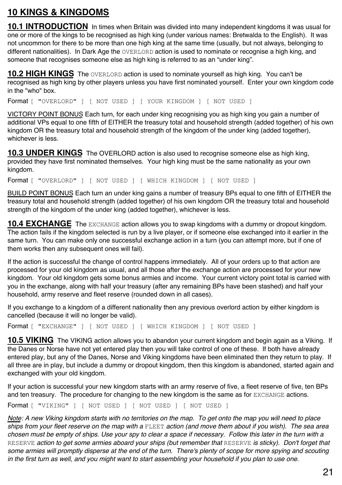## **10 KINGS & KINGDOMS**

**10.1 INTRODUCTION** In times when Britain was divided into many independent kingdoms it was usual for one or more of the kings to be recognised as high king (under various names: Bretwalda to the English). It was not uncommon for there to be more than one high king at the same time (usually, but not always, belonging to different nationalities). In Dark Age the OVERLORD action is used to nominate or recognise a high king, and someone that recognises someone else as high king is referred to as an "under king".

**10.2 HIGH KINGS** The OVERLORD action is used to nominate yourself as high king. You can't be recognised as high king by other players unless you have first nominated yourself. Enter your own kingdom code in the "who" box.

Format [ "OVERLORD" ] [ NOT USED ] [ YOUR KINGDOM ] [ NOT USED ]

VICTORY POINT BONUS Each turn, for each under king recognising you as high king you gain a number of additional VPs equal to one fifth of EITHER the treasury total and household strength (added together) of his own kingdom OR the treasury total and household strength of the kingdom of the under king (added together), whichever is less.

**10.3 UNDER KINGS** The OVERLORD action is also used to recognise someone else as high king, provided they have first nominated themselves. Your high king must be the same nationality as your own kingdom.

Format [ "OVERLORD" ] [ NOT USED ] [ WHICH KINGDOM ] [ NOT USED ]

BUILD POINT BONUS Each turn an under king gains a number of treasury BPs equal to one fifth of EITHER the treasury total and household strength (added together) of his own kingdom OR the treasury total and household strength of the kingdom of the under king (added together), whichever is less.

**10.4 EXCHANGE** The EXCHANGE action allows you to swap kingdoms with a dummy or dropout kingdom. The action fails if the kingdom selected is run by a live player, or if someone else exchanged into it earlier in the same turn. You can make only one successful exchange action in a turn (you can attempt more, but if one of them works then any subsequent ones will fail).

If the action is successful the change of control happens immediately. All of your orders up to that action are processed for your old kingdom as usual, and all those after the exchange action are processed for your new kingdom. Your old kingdom gets some bonus armies and income. Your current victory point total is carried with you in the exchange, along with half your treasury (after any remaining BPs have been stashed) and half your household, army reserve and fleet reserve (rounded down in all cases).

If you exchange to a kingdom of a different nationality then any previous overlord action by either kingdom is cancelled (because it will no longer be valid).

Format [ "EXCHANGE" ] [ NOT USED ] [ WHICH KINGDOM ] [ NOT USED ]

**10.5 VIKING** The VIKING action allows you to abandon your current kingdom and begin again as a Viking. If the Danes or Norse have not yet entered play then you will take control of one of these. If both have already entered play, but any of the Danes, Norse and Viking kingdoms have been eliminated then they return to play. If all three are in play, but include a dummy or dropout kingdom, then this kingdom is abandoned, started again and exchanged with your old kingdom.

If your action is successful your new kingdom starts with an army reserve of five, a fleet reserve of five, ten BPs and ten treasury. The procedure for changing to the new kingdom is the same as for EXCHANGE actions.

Format [ "VIKING" ] [ NOT USED ] [ NOT USED ] [ NOT USED ]

*Note: A new Viking kingdom starts with no territories on the map. To get onto the map you will need to place ships from your fleet reserve on the map with a* FLEET *action (and move them about if you wish). The sea area chosen must be empty of ships. Use your spy to clear a space if necessary. Follow this later in the turn with a*  RESERVE action to get some armies aboard your ships (but remember that RESERVE is sticky). Don't forget that some armies will promptly disperse at the end of the turn. There's plenty of scope for more spying and scouting *in the first turn as well, and you might want to start assembling your household if you plan to use one.*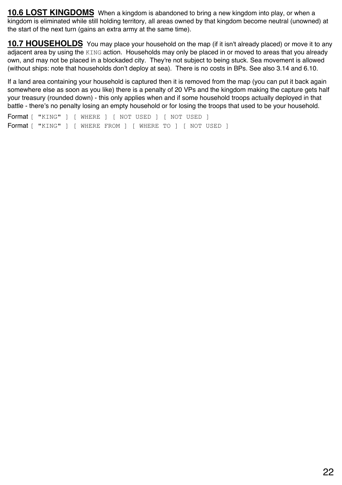**10.6 LOST KINGDOMS** When a kingdom is abandoned to bring a new kingdom into play, or when a kingdom is eliminated while still holding territory, all areas owned by that kingdom become neutral (unowned) at the start of the next turn (gains an extra army at the same time).

**10.7 HOUSEHOLDS** You may place your household on the map (if it isn't already placed) or move it to any adjacent area by using the KING action. Households may only be placed in or moved to areas that you already own, and may not be placed in a blockaded city. They're not subject to being stuck. Sea movement is allowed (without ships: note that households don't deploy at sea). There is no costs in BPs. See also 3.14 and 6.10.

If a land area containing your household is captured then it is removed from the map (you can put it back again somewhere else as soon as you like) there is a penalty of 20 VPs and the kingdom making the capture gets half your treasury (rounded down) - this only applies when and if some household troops actually deployed in that battle - there's no penalty losing an empty household or for losing the troops that used to be your household.

Format [ "KING" ] [ WHERE ] [ NOT USED ] [ NOT USED ] Format [ "KING" ] [ WHERE FROM ] [ WHERE TO ] [ NOT USED ]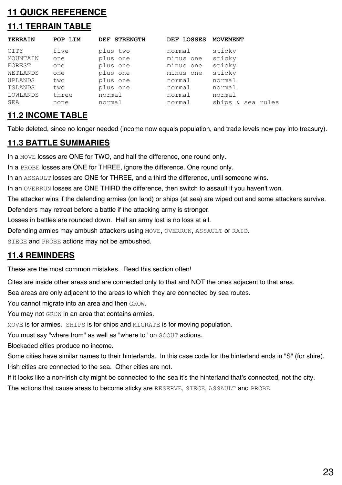### **11 QUICK REFERENCE**

## **11.1 TERRAIN TABLE**

| <b>TERRAIN</b> | POP LIM | DEF STRENGTH | DEF LOSSES | <b>MOVEMENT</b>   |
|----------------|---------|--------------|------------|-------------------|
| CITY           | five    | plus two     | normal     | sticky            |
| MOUNTAIN       | one     | plus one     | minus one  | sticky            |
| FOREST         | one     | plus one     | minus one  | sticky            |
| WETLANDS       | one     | plus one     | minus one  | sticky            |
| UPLANDS        | two     | plus one     | normal     | normal            |
| ISLANDS        | two     | plus one     | normal     | normal            |
| LOWLANDS       | three   | normal       | normal     | normal            |
| SEA            | none    | normal       | normal     | ships & sea rules |

#### **11.2 INCOME TABLE**

Table deleted, since no longer needed (income now equals population, and trade levels now pay into treasury).

#### **11.3 BATTLE SUMMARIES**

In a MOVE losses are ONE for TWO, and half the difference, one round only.

In a PROBE losses are ONE for THREE, ignore the difference. One round only.

In an ASSAULT losses are ONE for THREE, and a third the difference, until someone wins.

In an OVERRUN losses are ONE THIRD the difference, then switch to assault if you haven't won.

The attacker wins if the defending armies (on land) or ships (at sea) are wiped out and some attackers survive.

Defenders may retreat before a battle if the attacking army is stronger.

Losses in battles are rounded down. Half an army lost is no loss at all.

Defending armies may ambush attackers using MOVE, OVERRUN, ASSAULT or RAID.

SIEGE and PROBE actions may not be ambushed.

#### **11.4 REMINDERS**

These are the most common mistakes. Read this section often!

Cites are inside other areas and are connected only to that and NOT the ones adjacent to that area.

Sea areas are only adjacent to the areas to which they are connected by sea routes.

You cannot migrate into an area and then GROW.

You may not GROW in an area that contains armies.

MOVE is for armies. SHIPS is for ships and MIGRATE is for moving population.

You must say "where from" as well as "where to" on SCOUT actions.

Blockaded cities produce no income.

Some cities have similar names to their hinterlands. In this case code for the hinterland ends in "S" (for shire). Irish cities are connected to the sea. Other cities are not.

If it looks like a non-Irish city might be connected to the sea it's the hinterland that's connected, not the city.

The actions that cause areas to become sticky are RESERVE, SIEGE, ASSAULT and PROBE.